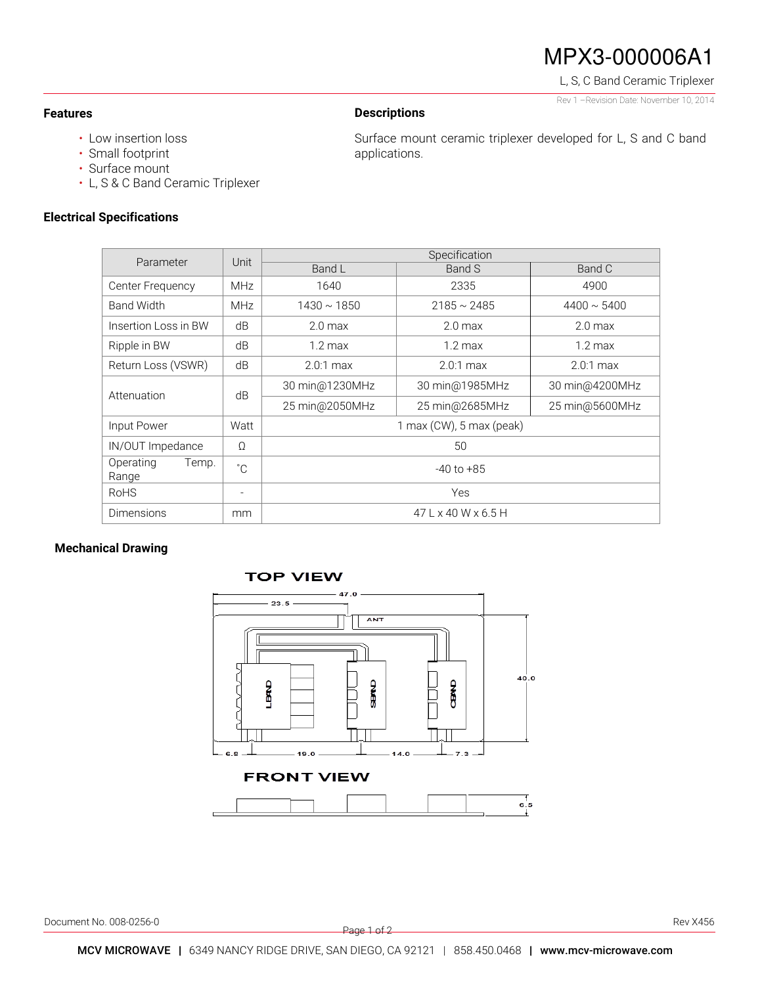# MPX3-000006A1

L, S, C Band Ceramic Triplexer Rev 1 –Revision Date: November 10, 2014

### **Features**

## • Low insertion loss

- Small footprint
- Surface mount
- L, S & C Band Ceramic Triplexer

## **Electrical Specifications**

Surface mount ceramic triplexer developed for L, S and C band applications.

| Parameter                   | Unit         | Specification                   |                    |                    |
|-----------------------------|--------------|---------------------------------|--------------------|--------------------|
|                             |              | Band L                          | Band S             | Band C             |
| Center Frequency            | <b>MHz</b>   | 1640                            | 2335               | 4900               |
| <b>Band Width</b>           | <b>MHz</b>   | $1430 \sim 1850$                | $2185 \sim 2485$   | $4400 \sim 5400$   |
| Insertion Loss in BW        | dB           | $2.0$ max                       | 2.0 <sub>max</sub> | 2.0 <sub>max</sub> |
| Ripple in BW                | dB           | $1.2 \text{ max}$               | $1.2 \text{ max}$  | $1.2 \text{ max}$  |
| Return Loss (VSWR)          | dB           | $2.0:1$ max                     | $2.0:1$ max        | $2.0:1$ max        |
| Attenuation                 | dB           | 30 min@1230MHz                  | 30 min@1985MHz     | 30 min@4200MHz     |
|                             |              | 25 min@2050MHz                  | 25 min@2685MHz     | 25 min@5600MHz     |
| Input Power                 | Watt         | 1 max (CW), 5 max (peak)        |                    |                    |
| IN/OUT Impedance            | Ω            | 50                              |                    |                    |
| Temp.<br>Operating<br>Range | $^{\circ}$ C | $-40$ to $+85$                  |                    |                    |
| <b>RoHS</b>                 |              | Yes                             |                    |                    |
| Dimensions                  | mm           | $47 L \times 40 W \times 6.5 H$ |                    |                    |

**Descriptions** 

## **Mechanical Drawing**



Document No. 008-0256-0 Rev X456

Page 1 of 2